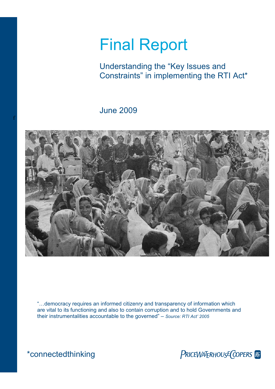## Final Report

Understanding the "Key Issues and Constraints" in implementing the RTI Act\*

June 2009



"…democracy requires an informed citizenry and transparency of information which are vital to its functioning and also to contain corruption and to hold Governments and their instrumentalities accountable to the governed" – *Source: RTI Act' 2005* 

f

\*connectedthinking The PRICEWATERHOUSE COPERS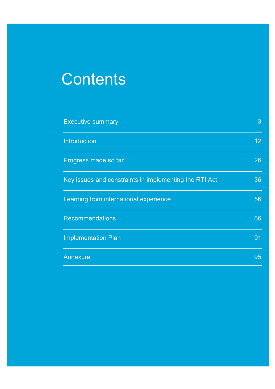# **Contents**

| <b>Executive summary</b>                               | 3 <sup>1</sup>  |
|--------------------------------------------------------|-----------------|
| <b>Introduction</b>                                    | 12 <sub>2</sub> |
| Progress made so far                                   | 26              |
| Key issues and constraints in implementing the RTI Act | 36              |
| Learning from international experience                 | 56              |
| <b>Recommendations</b>                                 | 66              |
| <b>Implementation Plan</b>                             | 91              |
| Annexure                                               | 95              |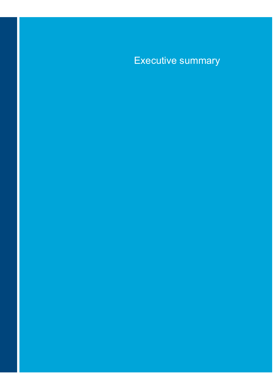### Executive summary

PricewaterhouseCoopers Final Understanding the "Key Issues and Constraints" in implementing the RTI Act\*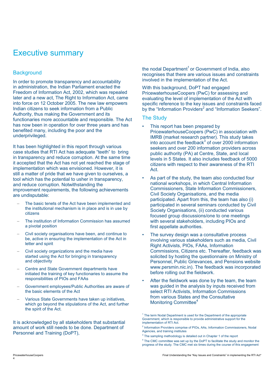### Executive summary

#### **Background**

In order to promote transparency and accountability in administration, the Indian Parliament enacted the Freedom of Information Act, 2002, which was repealed later and a new act, The Right to Information Act, came into force on 12 October 2005. The new law empowers Indian citizens to seek information from a Public Authority, thus making the Government and its functionaries more accountable and responsible. The Act has now been in operation for over three years and has benefited many, including the poor and the underprivileged.

It has been highlighted in this report through various case studies that RTI Act has adequate "teeth" to bring in transparency and reduce corruption. At the same time it accepted that the Act has not yet reached the stage of implementation which was envisioned. However, it is still a matter of pride that we have given to ourselves, a tool which has the potential to usher in transparency, and reduce corruption. Notwithstanding the improvement requirements, the following achievements are undisputable:

- The basic tenets of the Act have been implemented and the institutional mechanism is in place and is in use by citizens
- The institution of Information Commission has assumed a pivotal position
- Civil society organisations have been, and continue to be, active in ensuring the implementation of the Act in letter and spirit
- Civil society organizations and the media have started using the Act for bringing in transparency and objectivity
- Centre and State Government departments have initiated the training of key functionaries to assume the responsibilities of PIOs and FAAs
- Government employees/Public Authorities are aware of the basic elements of the Act
- Various State Governments have taken up initiatives, which go beyond the stipulations of the Act, and further the spirit of the Act.

It is acknowledged by all stakeholders that substantial amount of work still needs to be done. Department of Personnel and Training (DoPT),

the nodal Department<sup>1</sup> or Government of India, also recognises that there are various issues and constraints involved in the implementation of the Act.

With this background, DoPT had engaged PricewaterhouseCoopers (PwC) for assessing and evaluating the level of implementation of the Act with specific reference to the key issues and constraints faced by the "Information Providers<sup>2</sup> and "Information Seekers".

#### The Study

- This report has been prepared by PricewaterhouseCoopers (PwC) in association with IMRB (market research partner). This study takes into account the feedback $3$  of over 2000 information seekers and over 200 information providers across public authority (PA) at Centre, State, and local levels in 5 States. It also includes feedback of 5000 citizens with respect to their awareness of the RTI Act.
- As part of the study, the team also conducted four national workshops, in which Central Information Commissioners, State Information Commissioners, Civil Society Organisations, and the media participated. Apart from this, the team has also (i) participated in several seminars conducted by Civil Society Organisations, (ii) conducted various focused group discussions/one to one meetings with several stakeholders, including PIOs and first appellate authorities.
- The survey design was a consultative process involving various stakeholders such as media, Civil Right Activists, PIOs, FAAs, Information Commissions, Citizens etc. Thereafter, feedback was solicited by hosting the questionnaire on Ministry of Personnel, Public Grievances, and Pensions website www.persmin.nic.in). The feedback was incorporated before rolling out the fieldwork.
- After the fieldwork was done by the team, the team was guided in the analysis by inputs received from select RTI Activists, Information Commissions from various States and the Consultative Monitoring Committee<sup>4</sup>

4

<sup>&</sup>lt;sup>1</sup> The term Nodal Department is used for the Department of the appropriate Government, which is responsible to provide administrative support for the implementation of RTI Act.

<sup>&</sup>lt;sup>2</sup> Information Providers comprise of PIOs, AAs, Information Commissioners, Nodal Agencies, and training institutes

<sup>&</sup>lt;sup>3</sup> The sampling methodology is detailed out in Chapter 1 of the report

<sup>&</sup>lt;sup>4</sup> The CMC committee was set up by the DoPT to facilitate the study and monitor the progress of the study. The CMC met six times during the course of this engagement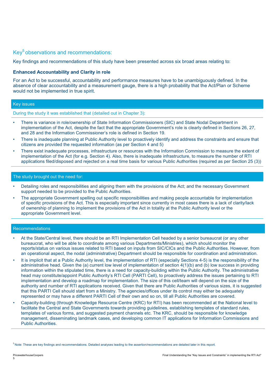#### Key<sup>5</sup> observations and recommendations:

Key findings and recommendations of this study have been presented across six broad areas relating to:

#### **Enhanced Accountability and Clarity in role**

For an Act to be successful, accountability and performance measures have to be unambiguously defined. In the absence of clear accountability and a measurement gauge, there is a high probability that the Act/Plan or Scheme would not be implemented in true spirit.

#### Key issues

During the study it was established that (detailed out in Chapter 3):

- There is variance in role/ownership of State Information Commissioners (SIC) and State Nodal Department in implementation of the Act, despite the fact that the appropriate Government's role is clearly defined in Sections 26, 27, and 28 and the Information Commissioner's role is defined in Section 19.
- There is inadequate planning at Public Authority level to proactively identify and address the constraints and ensure that citizens are provided the requested information (as per Section 4 and 5)
- There exist inadequate processes, infrastructure or resources with the Information Commission to measure the extent of implementation of the Act (for e.g. Section 4). Also, there is inadequate infrastructure, to measure the number of RTI applications filed/disposed and rejected on a real time basis for various Public Authorities (required as per Section 25 (3))

#### The study brought out the need for:

- Detailing roles and responsibilities and aligning them with the provisions of the Act; and the necessary Government support needed to be provided to the Public Authorities.
- The appropriate Government spelling out specific responsibilities and making people accountable for implementation of specific provisions of the Act. This is especially important since currently in most cases there is a lack of clarity/lack of ownership of planning to implement the provisions of the Act in totality at the Public Authority level or the appropriate Government level.

#### Recommendations

- At the State/Central level, there should be an RTI Implementation Cell headed by a senior bureaucrat (or any other bureaucrat, who will be able to coordinate among various Departments/Ministries), which should monitor the reports/status on various issues related to RTI based on inputs from SIC/CICs and the Public Authorities. However, from an operational aspect, the nodal (administrative) Department should be responsible for coordination and administration.
- It is implicit that at a Public Authority level, the implementation of RTI (especially Sections 4-5) is the responsibility of the administrative head. Given the (a) current low level of implementation of section 4(1)(b) and (b) low success in providing information within the stipulated time, there is a need for capacity-building within the Public Authority. The administrative head may constitute/appoint Public Authority's RTI Cell (PARTI Cell), to proactively address the issues pertaining to RTI implementation and develop a roadmap for implementation. The size of this cell/team will depend on the size of the authority and number of RTI applications received. Given that there are Public Authorities of various sizes, it is suggested that this PARTI Cell should start from a Ministry. The agencies/offices under its control may either be adequately represented or may have a different PARTI Cell of their own and so on, till all Public Authorities are covered.
- Capacity-building (through Knowledge Resource Centre (KRC) for RTI) has been recommended at the National level to facilitate the Central and State Governments towards providing guidelines, establishing templates of standard rules, templates of various forms, and suggested payment channels etc. The KRC, should be responsible for knowledge management, disseminating landmark cases, and developing common IT applications for Information Commissions and Public Authorities.

<sup>5</sup> Note: These are key findings and recommendations. Detailed analyses leading to the assertion/recommendations are detailed later in this report.

5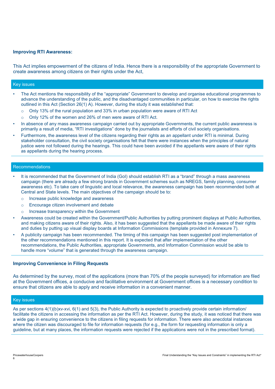#### **Improving RTI Awareness:**

This Act implies empowerment of the citizens of India. Hence there is a responsibility of the appropriate Government to create awareness among citizens on their rights under the Act,

#### Key issues

- The Act mentions the responsibility of the "appropriate" Government to develop and organise educational programmes to advance the understanding of the public, and the disadvantaged communities in particular, on how to exercise the rights outlined in this Act (Section 26(1) A). However, during the study it was established that:
	- $\circ$  Only 13% of the rural population and 33% in urban population were aware of RTI Act
	- o Only 12% of the women and 26% of men were aware of RTI Act.
- In absence of any mass awareness campaign carried out by appropriate Governments, the current public awareness is primarily a result of media, "RTI investigations" done by the journalists and efforts of civil society organisations.
- Furthermore, the awareness level of the citizens regarding their rights as an appellant under RTI is minimal. During stakeholder consultation, the civil society organisations felt that there were instances when the principles of natural justice were not followed during the hearings. This could have been avoided if the appellants were aware of their rights as appellants during the hearing process.

#### **Recommendations**

- It is recommended that the Government of India (GoI) should establish RTI as a "brand" through a mass awareness campaign (there are already a few strong brands in Government schemes such as NREGS, family planning, consumer awareness etc). To take care of linguistic and local relevance, the awareness campaign has been recommended both at Central and State levels. The main objectives of the campaign should be to:
	- o Increase public knowledge and awareness
	- o Encourage citizen involvement and debate
	- o Increase transparency within the Government
- Awareness could be created within the Government/Public Authorities by putting prominent displays at Public Authorities, and making citizens aware of their rights. Also, it has been suggested that the appellants be made aware of their rights and duties by putting up visual display boards at Information Commissions (template provided in Annexure 7).
- A publicity campaign has been recommended. The timing of this campaign has been suggested post implementation of the other recommendations mentioned in this report. It is expected that after implementation of the other recommendations, the Public Authorities, appropriate Governments, and Information Commission would be able to handle more "volume" that is generated through the awareness campaign.

#### **Improving Convenience in Filing Requests**

As determined by the survey, most of the applications (more than 70% of the people surveyed) for information are filed at the Government offices, a conducive and facilitative environment at Government offices is a necessary condition to ensure that citizens are able to apply and receive information in a convenient manner.

#### Key issues

As per sections  $4(1)(b)$ xv-xvi, 6(1) and 5(3), the Public Authority is expected to proactively provide certain information/ facilitate the citizens in accessing the information as per the RTI Act. However, during the study, it was noticed that there was a wide gap in ensuring convenience to the citizens in filing requests for information. There were also anecdotal instances where the citizen was discouraged to file for information requests (for e.g., the form for requesting information is only a guideline, but at many places, the information requests were rejected if the applications were not in the prescribed format).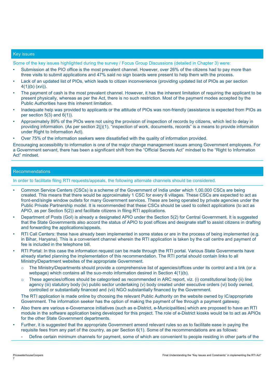#### Key issues

Some of the key issues highlighted during the survey / Focus Group Discussions (detailed in Chapter 3) were:

- Submission at the PIO office is the most prevalent channel. However, over 26% of the citizens had to pay more than three visits to submit applications and 47% said no sign boards were present to help them with the process.
- Lack of an updated list of PIOs, which leads to citizen inconvenience (providing updated list of PIOs as per section 4(1)(b) (xvi)).
- The payment of cash is the most prevalent channel. However, it has the inherent limitation of requiring the applicant to be present physically, whereas as per the Act, there is no such restriction. Most of the payment modes accepted by the Public Authorities have this inherent limitation.
- Inadequate help was provided to applicants or the attitude of PIOs was non-friendly (assistance is expected from PIOs as per section  $5(3)$  and  $6(1)$ ).
- Approximately 89% of the PIOs were not using the provision of inspection of records by citizens, which led to delay in providing information. (As per section 2(j)(1), "inspection of work, documents, records" is a means to provide information under Right to Information Act).
- Over 75% of the information seekers were dissatisfied with the quality of information provided.

Encouraging accessibility to information is one of the major change management issues among Government employees. For a Government servant, there has been a significant shift from the "Official Secrets Act" mindset to the "Right to Information Act" mindset.

#### Recommendations

In order to facilitate filing RTI requests/appeals, the following alternate channels should be considered.

- Common Service Centers (CSCs) is a scheme of the Government of India under which 1,00,000 CSCs are being created. This means that there would be approximately 1 CSC for every 6 villages. These CSCs are expected to act as front-end/single window outlets for many Government services. These are being operated by private agencies under the Public Private Partnership model. It is recommended that these CSCs should be used to collect applications (to act as APIO, as per Section 5(2)) and facilitate citizens in filing RTI applications.
- Department of Posts (GoI) is already a designated APIO under the Section 5(2) for Central Government. It is suggested that the State Governments also accord the status of APIO to post offices and designate staff to assist citizens in drafting and forwarding the applications/appeals.
- RTI Call Centers: these have already been implemented in some states or are in the process of being implemented (e.g. in Bihar, Haryana). This is a convenient channel wherein the RTI application is taken by the call centre and payment of fee is included in the telephone bill.
- RTI Portal: In this case the information request can be made through the RTI portal. Various State Governments have already started planning the implementation of this recommendation. The RTI portal should contain links to all Ministry/Department websites of the appropriate Government.
	- o The Ministry/Departments should provide a comprehensive list of agencies/offices under its control and a link (or a webpage) which contains all the suo-moto information desired in Section 4(1)(b).
	- o These agencies/offices should be categorised as recommended in ARC report, viz. (i) constitutional body (ii) line agency (iii) statutory body (iv) public sector undertaking (v) body created under executive orders (vi) body owned, controlled or substantially financed and (vii) NGO substantially financed by the Government.

The RTI application is made online by choosing the relevant Public Authority on the website owned by IC/appropriate Government. The information seeker has the option of making the payment of fee through a payment gateway.

- Also there are various e-Governance initiatives (such as e-District, e-Municipalities) which are proposed to have an RTI module in the software application being developed for this project. The role of e-District kiosks would be to act as APIOs for the other State Government departments.
- Further, it is suggested that the appropriate Government amend relevant rules so as to facilitate ease in paying the requisite fees from any part of the country, as per Section 6(1). Some of the recommendations are as follows:
	- Define certain minimum channels for payment, some of which are convenient to people residing in other parts of the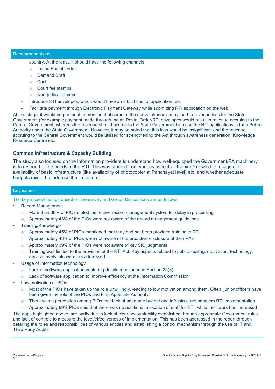#### **Recommendations**

country. At the least, it should have the following channels:

- o Indian Postal Order
- o Demand Draft
- o Cash
- o Court fee stamps
- o Non-judicial stamps
- Introduce RTI envelopes, which would have an inbuilt cost of application fee.
- Facilitate payment through Electronic Payment Gateway while submitting RTI application on the web.

At this stage, it would be pertinent to mention that some of the above channels may lead to revenue loss for the State Government (for example payment made through Indian Postal Order/RTI envelopes would result in revenue accruing to the Central Government, whereas the revenue should accrue to the State Government in case the RTI applications is for a Public Authority under the State Government. However, it may be noted that this loss would be insignificant and the revenue accruing to the Central Government would be utilised for strengthening the Act through awareness generation, Knowledge Resource Centre etc.

#### **Common Infrastructure & Capacity Building**

The study also focused on the Information providers to understand how well-equipped the Government/PA machinery is to respond to the needs of the RTI. This was studied from various aspects – training/knowledge, usage of IT, availability of basic infrastructure (like availability of photocopier at Panchayat level) etc, and whether adequate budgets existed to address the limitation.

#### Key issues

The key issues/findings based on the survey and Group Discussions are as follows:

- Record Management
	- o More than 38% of PIOs stated ineffective record management system for delay in processing
	- $\circ$  Approximately 43% of the PIOs were not aware of the record management quidelines
- Training/Knowledge
	- o Approximately 45% of PIOs mentioned that they had not been provided training in RTI
	- $\circ$  Approximately 43% of PIOs were not aware of the proactive disclosure of their PAs
	- o Approximately 39% of the PIOs were not aware of key SIC judgments
	- $\circ$  Training was limited to the provision of the RTI Act. Key aspects related to public dealing, motivation, technology, service levels, etc were not addressed
- Usage of Information technology
	- o Lack of software application capturing details mentioned in Section 25(3)
	- $\circ$  Lack of software application to improve efficiency at the Information Commission
- Low motivation of PIOs
	- $\circ$  Most of the PIOs have taken up the role unwillingly, leading to low motivation among them. Often, junior officers have been given the role of the PIOs and First Appellate Authority
	- o There was a perception among PIOs that lack of adequate budget and infrastructure hampers RTI implementation
	- $\circ$  Approximately 89% PIOs said that there was no additional allocation of staff for RTI, while their work has increased

The gaps highlighted above, are partly due to lack of clear accountability established through appropriate Government rules and lack of controls to measure the level/effectiveness of implementation. This has been addressed in the report through detailing the roles and responsibilities of various entities and establishing a control mechanism through the use of IT and Third Party Audits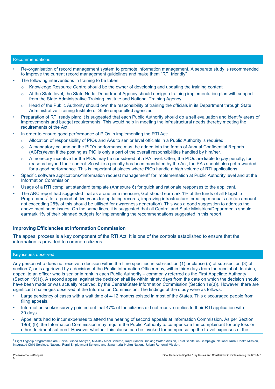#### Recommendations

- Re-organisation of record management system to promote information management. A separate study is recommended to improve the current record management guidelines and make them "RTI friendly"
- The following interventions in training to be taken:
	- $\circ$  Knowledge Resource Centre should be the owner of developing and updating the training content
	- $\circ$  At the State level, the State Nodal Department Agency should design a training implementation plan with support from the State Administrative Training Institute and National Training Agency.
	- $\circ$  Head of the Public Authority should own the responsibility of training the officials in its Department through State Administrative Training Institute or State empanelled agencies.
- Preparation of RTI ready plan: It is suggested that each Public Authority should do a self evaluation and identify areas of improvements and budget requirements. This would help in meeting the infrastructural needs thereby meeting the requirements of the Act.
- In order to ensure good performance of PIOs in implementing the RTI Act:
	- o Allocation of responsibility of PIOs and AAs to senior level officials in a Public Authority is required
	- o A mandatory column on the PIO's performance must be added into the forms of Annual Confidential Reports (ACRs)/even if the posting as PIO is only a part of the overall responsibilities handled by him/her.
	- o A monetary incentive for the PIOs may be considered at a PA level. Often, the PIOs are liable to pay penalty, for reasons beyond their control. So while a penalty has been mandated by the Act, the PAs should also get rewarded for a good performance. This is important at places where PIOs handle a high volume of RTI applications
- Specific software applications/"information request management" for implementation at Public Authority level and at the Information Commission.
- Usage of a RTI compliant standard template (Annexure 6) for quick and rationale responses to the applicant.
- The ARC report had suggested that as a one time measure, GoI should earmark 1% of the funds of all Flagship Programmes<sup>6</sup> for a period of five years for updating records, improving infrastructure, creating manuals etc (an amount not exceeding 25% of this should be utilised for awareness generation). This was a good suggestion to address the above mentioned issues. On the same lines, it is suggested that all Central and State Ministries/Departments should earmark 1% of their planned budgets for implementing the recommendations suggested in this report.

#### **Improving Efficiencies at Information Commission**

The appeal process is a key component of the RTI Act. It is one of the controls established to ensure that the information is provided to common citizens.

#### Key issues observed

Any person who does not receive a decision within the time specified in sub-section (1) or clause (a) of sub-section (3) of section 7, or is aggrieved by a decision of the Public Information Officer may, within thirty days from the receipt of decision, appeal to an officer who is senior in rank in each Public Authority – commonly referred as the First Appellate Authority (Section 19(1)). A second appeal against the decision shall lie within ninety days from the date on which the decision should have been made or was actually received, by the Central/State Information Commission (Section 19(3)). However, there are significant challenges observed at the Information Commission. The findings of the study were as follows:

- Large pendency of cases with a wait time of 4-12 months existed in most of the States. This discouraged people from filing appeals.
- Information seeker survey pointed out that 47% of the citizens did not receive replies to their RTI application with 30 days.
- Appellants had to incur expenses to attend the hearing of second appeals at Information Commission. As per Section 19(8) (b), the Information Commission may require the Public Authority to compensate the complainant for any loss or other detriment suffered. However whether this clause can be invoked for compensating the travel expenses of the

9

<sup>&</sup>lt;sup>6</sup> Eight flagship programmes are: Sarva Siksha Abhiyan, Mid-day Meal Scheme, Rajiv Gandhi Drinking Water Mission, Total Sanitation Campaign, National Rural Health Mission, Integrated Child Services, National Rural Employment Scheme and Jawarharlal Nehru National Urban Renewal Mission.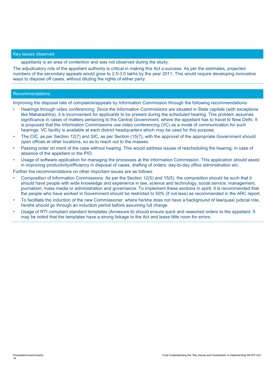#### Key issues observed

appellants is an area of contention and was not observed during the study.

The adjudicatory role of the appellant authority is critical in making this Act a success. As per the estimates, projected numbers of the secondary appeals would grow to 2.5-3.0 lakhs by the year 2011. This would require developing innovative ways to dispose off cases, without diluting the rights of either party.

#### Recommendations

Improving the disposal rate of complaints/appeals by Information Commission through the following recommendations:

- Hearings through video conferencing: Since the Information Commissions are situated in State capitals (with exceptions like Maharashtra), it is inconvenient for applicants to be present during the scheduled hearing. This problem assumes significance in cases of matters pertaining to the Central Government, where the appellant has to travel to New Delhi. It is proposed that the Information Commissions use video conferencing (VC) as a mode of communication for such hearings. VC facility is available at each district headquarters which may be used for this purpose.
- The CIC, as per Section 12(7) and SIC, as per Section (15(7), with the approval of the appropriate Government should open offices at other locations, so as to reach out to the masses.
- Passing order on merit of the case without hearing. This would address issues of rescheduling the hearing, in case of absence of the appellant or the PIO.
- Usage of software application for managing the processes at the Information Commission. This application should assist in improving productivity/efficiency in disposal of cases, drafting of orders, day-to-day office administration etc.

Further the recommendations on other important issues are as follows:

- Composition of Information Commissions: As per the Section 12(5) and 15(5), the composition should be such that it should have people with wide knowledge and experience in law, science and technology, social service, management, journalism, mass media or administration and governance. To implement these sections in spirit, it is recommended that the people who have worked in Government should be restricted to 50% (if not less) as recommended in the ARC report.
- To facilitate the induction of the new Commissioner, where he/she does not have a background of law/quasi judicial role, he/she should go through an induction period before assuming full charge.
- Usage of RTI compliant standard templates (Annexure 6) should ensure quick and reasoned orders to the appellant. It may be noted that the templates have a strong linkage to the Act and leave little room for errors.